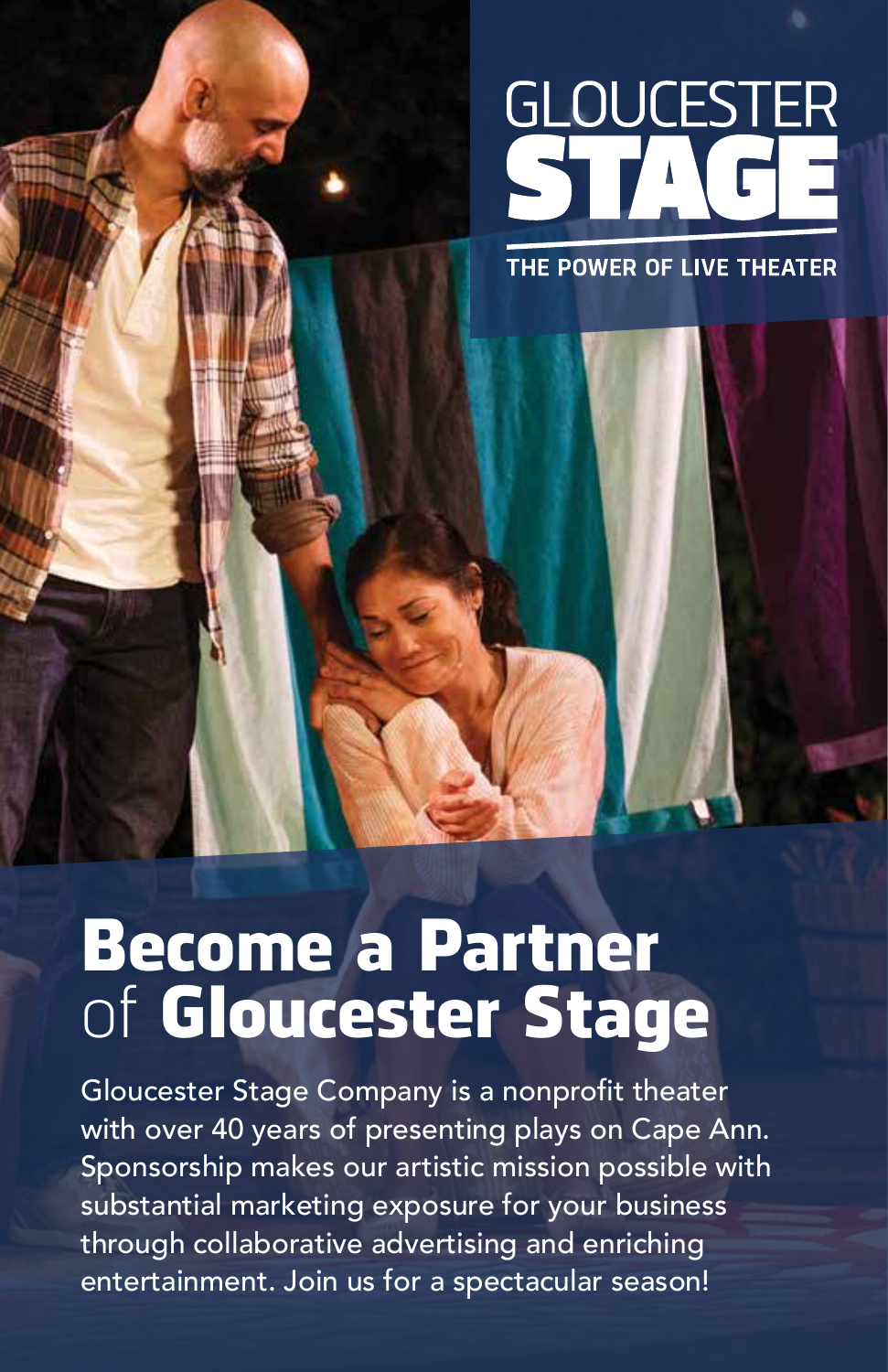# GLOUCESTER

THE POWER OF LIVE THEATER

# Become a Partner of Gloucester Stage

Gloucester Stage Company is a nonprofit theater with over 40 years of presenting plays on Cape Ann. Sponsorship makes our artistic mission possible with substantial marketing exposure for your business through collaborative advertising and enriching entertainment. Join us for a spectacular season!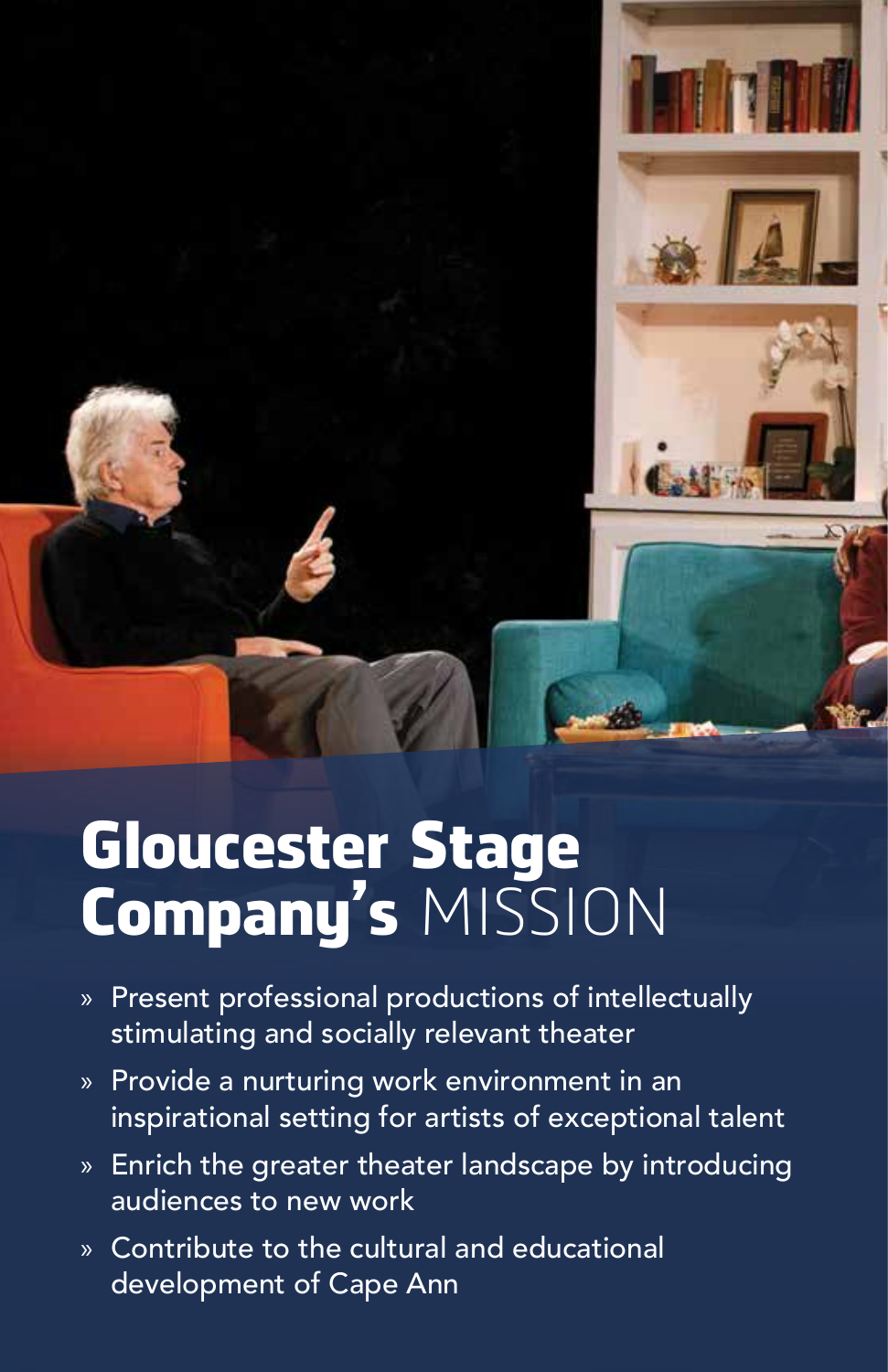

## Gloucester Stage Company's MISSION

- » Present professional productions of intellectually stimulating and socially relevant theater
- » Provide a nurturing work environment in an inspirational setting for artists of exceptional talent
- » Enrich the greater theater landscape by introducing audiences to new work
- » Contribute to the cultural and educational development of Cape Ann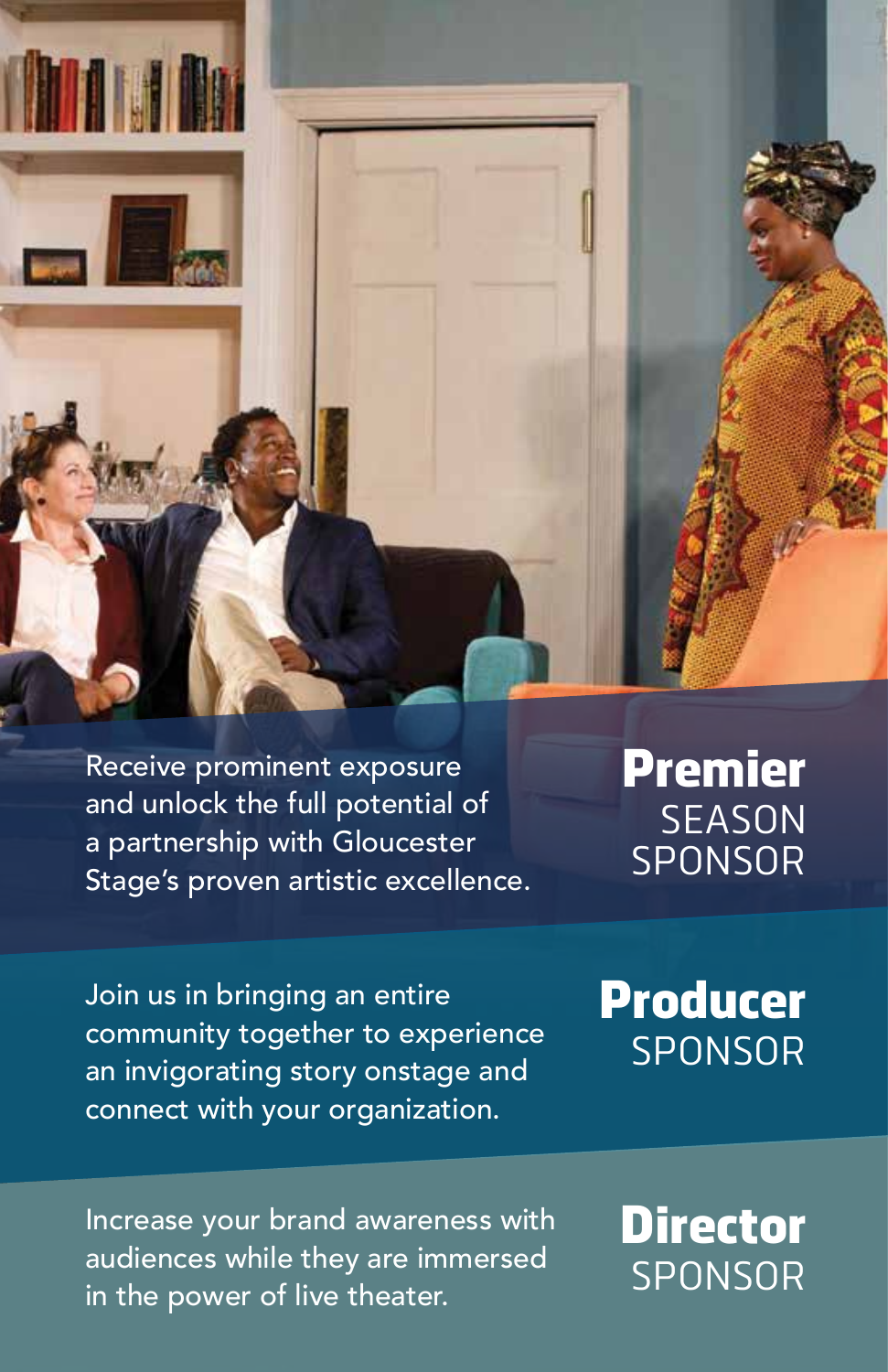Receive prominent exposure and unlock the full potential of a partnership with Gloucester Stage's proven artistic excellence. Premier **SEASON** SPONSOR

Join us in bringing an entire community together to experience an invigorating story onstage and connect with your organization.

#### Producer SPONSOR

Increase your brand awareness with audiences while they are immersed in the power of live theater.

#### **Director** SPONSOR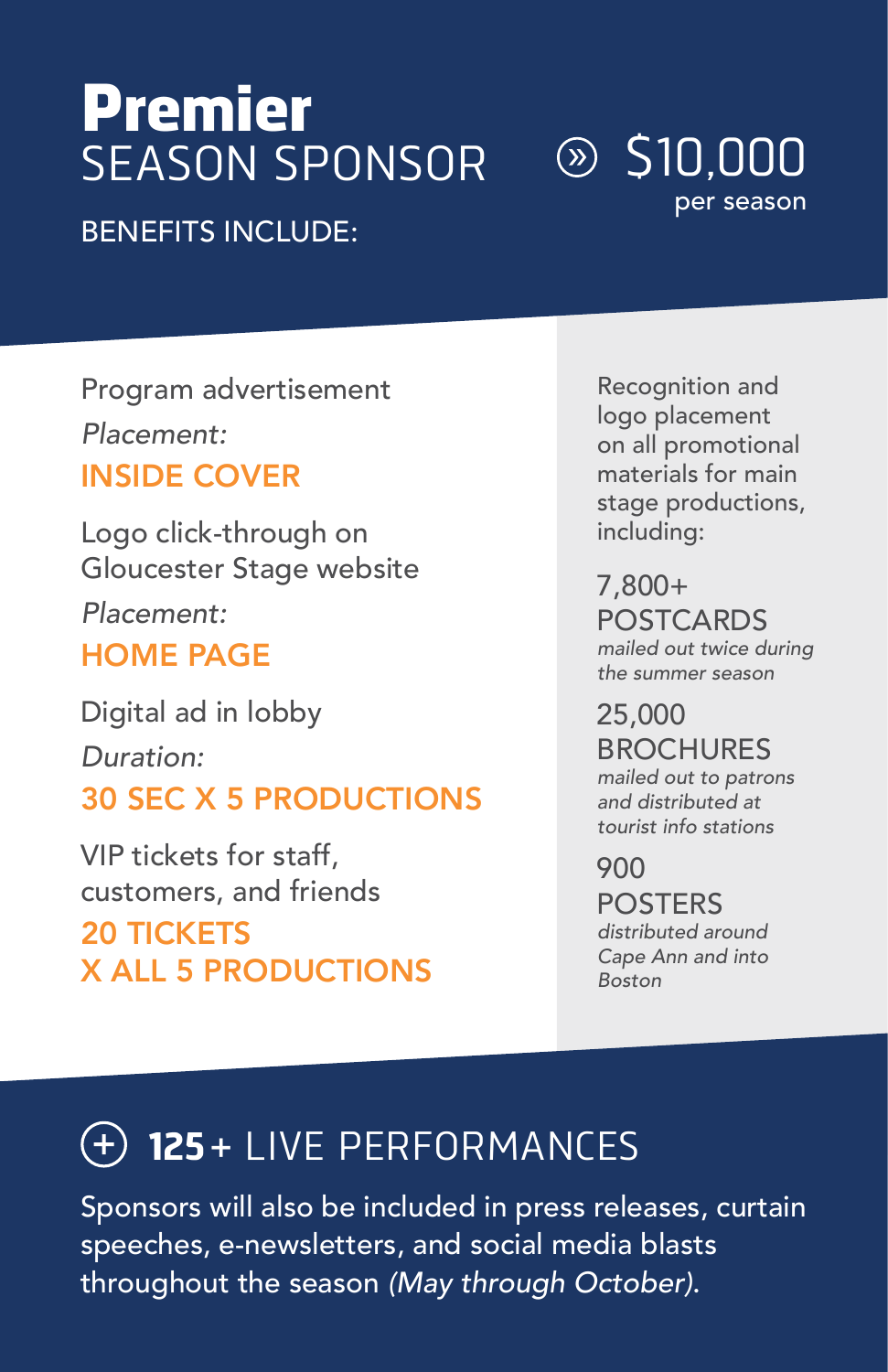## Premier SEASON SPONSOR

#### $\circledcirc$  S10.000 per season

#### BENEFITS INCLUDE:

Program advertisement *Placement:* INSIDE COVER

Logo click-through on Gloucester Stage website *Placement:* HOME PAGE

Digital ad in lobby *Duration:* 30 SEC X 5 PRODUCTIONS

VIP tickets for staff, customers, and friends

20 TICKETS X ALL 5 PRODUCTIONS

Recognition and logo placement on all promotional materials for main stage productions, including:

7,800+ POSTCARDS *mailed out twice during the summer season*

25,000 **BROCHURES** *mailed out to patrons and distributed at tourist info stations*

900 POSTERS *distributed around Cape Ann and into Boston*

#### **125 +** LIVE PERFORMANCES

Sponsors will also be included in press releases, curtain speeches, e-newsletters, and social media blasts throughout the season *(May through October)*.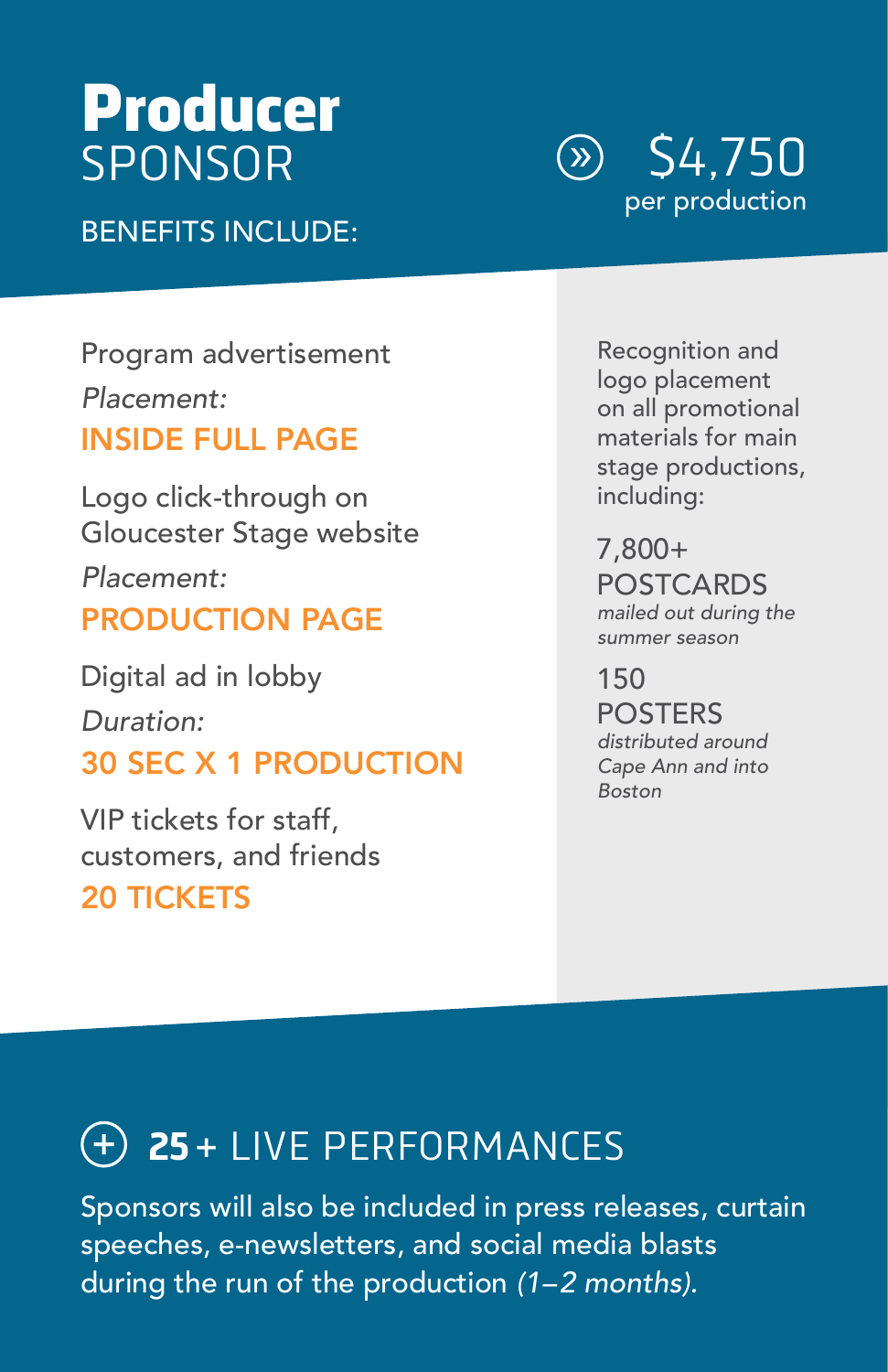## Producer SPONSOR

BENEFITS INCLUDE:

\$4,750  $(\aleph)$ per production

Program advertisement *Placement:* INSIDE FULL PAGE

Logo click-through on Gloucester Stage website *Placement:* PRODUCTION PAGE

Digital ad in lobby *Duration:* 30 SEC X 1 PRODUCTION

VIP tickets for staff, customers, and friends 20 TICKETS

Recognition and logo placement on all promotional materials for main stage productions, including:

7,800+ POSTCARDS *mailed out during the summer season*

150 POSTERS *distributed around Cape Ann and into Boston*

#### **25 +** LIVE PERFORMANCES

Sponsors will also be included in press releases, curtain speeches, e-newsletters, and social media blasts during the run of the production *(1–2 months).*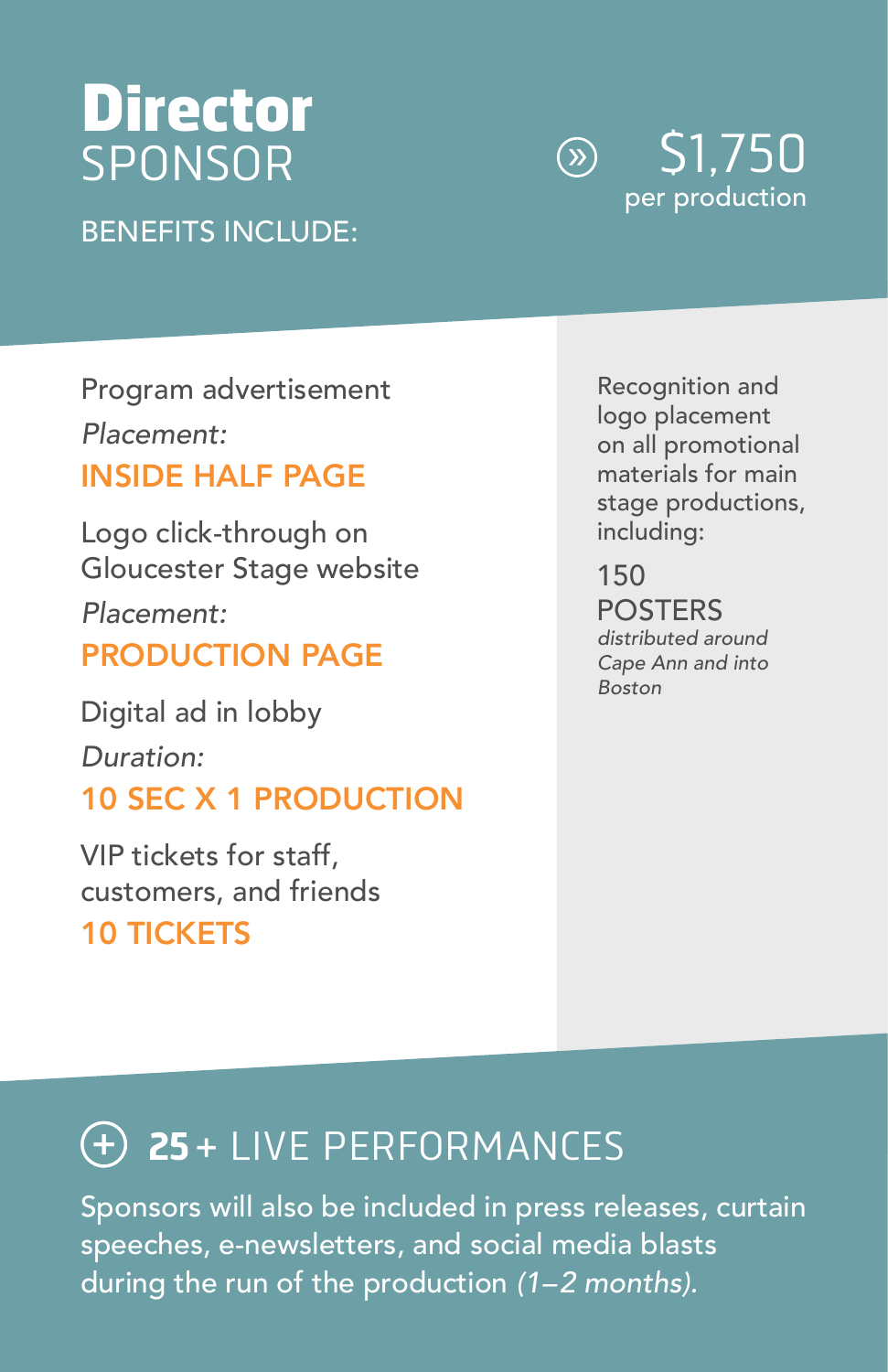## Director SPONSOR

BENEFITS INCLUDE:

\$1,750  $\bigcirc$ per production

Program advertisement *Placement:* INSIDE HALF PAGE

Logo click-through on Gloucester Stage website *Placement:* PRODUCTION PAGE

Digital ad in lobby *Duration:* 10 SEC X 1 PRODUCTION

VIP tickets for staff, customers, and friends

10 TICKETS

Recognition and logo placement on all promotional materials for main stage productions, including:

150 POSTERS *distributed around Cape Ann and into Boston*

#### **25 +** LIVE PERFORMANCES

Sponsors will also be included in press releases, curtain speeches, e-newsletters, and social media blasts during the run of the production *(1–2 months).*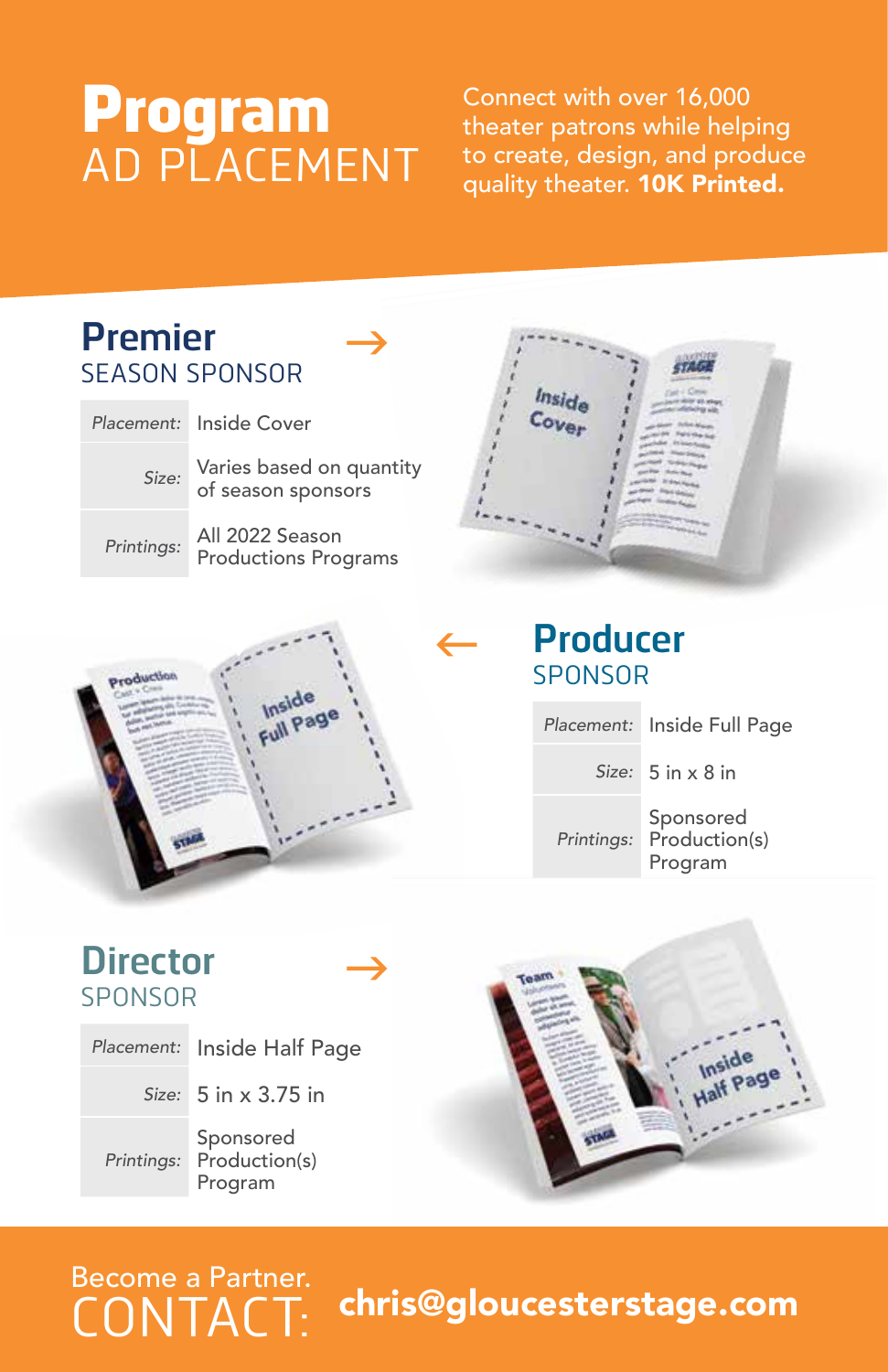### Program AD PLACEMENT

Connect with over 16,000 theater patrons while helping to create, design, and produce quality theater. 10K Printed.



#### Become a Partner.<br>CONTACT: chris@gloucesterstage.com